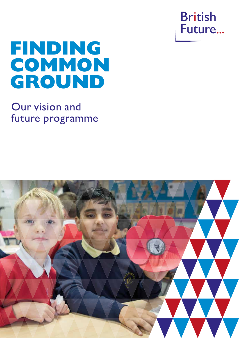

# **FINDING COMMON GROUND**

## Our vision and future programme

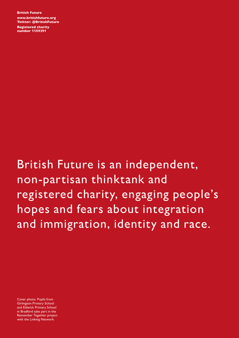British Future www.britishfuture.org Twitter: @BritishFuture Registered charity number 1159291

British Future is an independent, non-partisan thinktank and registered charity, engaging people's hopes and fears about integration and immigration, identity and race.

Cover photo: Pupils from Girlington Primary School and Eldwick Primary School in Bradford take part in the Remember Together project with the Linking Network.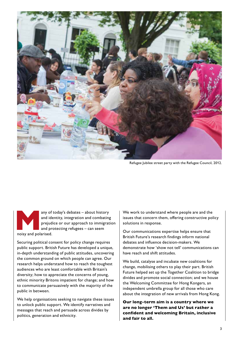

Refugee Jubilee street party with the Refugee Council, 2012.

any of today's debates – about history<br>and identity, integration and combating<br>prejudice or our approach to immigrat<br>and protecting refugees – can seem<br>noisy and polarised. and identity, integration and combating prejudice or our approach to immigration and protecting refugees – can seem noisy and polarised.

Securing political consent for policy change requires public support. British Future has developed a unique, in-depth understanding of public attitudes, uncovering the common ground on which people can agree. Our research helps understand how to reach the toughest audiences who are least comfortable with Britain's diversity; how to appreciate the concerns of young, ethnic minority Britons impatient for change; and how to communicate persuasively with the majority of the public in between.

We help organisations seeking to navigate these issues to unlock public support. We identify narratives and messages that reach and persuade across divides by politics, generation and ethnicity.

We work to understand where people are and the issues that concern them, offering constructive policy solutions in response.

Our communications expertise helps ensure that British Future's research findings inform national debates and influence decision-makers. We demonstrate how 'show not tell' communications can have reach and shift attitudes.

We build, catalyse and incubate new coalitions for change, mobilising others to play their part. British Future helped set up the Together Coalition to bridge divides and promote social connection; and we house the Welcoming Committee for Hong Kongers, an independent umbrella group for all those who care about the integration of new arrivals from Hong Kong.

Our long-term aim is a country where we are no longer 'Them and Us' but rather a confident and welcoming Britain, inclusive and fair to all.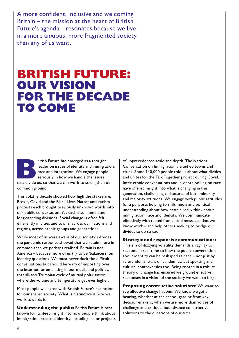A more confident, inclusive and welcoming Britain – the mission at the heart of British Future's agenda – resonates because we live in a more anxious, more fragmented society than any of us want.

## **BRITISH FUTURE: OUR VISION FOR THE DECADE TO COME**

Fitish Future has emerged as a thought<br>
leader on issues of identity and immigration<br>
race and integration. We engage people<br>
seriously in how we handle the issues<br>
that divide us, so that we can work to strengthen our leader on issues of identity and immigration, race and integration. We engage people seriously in how we handle the issues common ground.

This volatile decade showed how high the stakes are. Brexit, Covid and the Black Lives Matter anti-racism protests each brought previously unknown words into our public conversation. Yet each also illuminated long-standing divisions. Social change is often felt differently in cities and towns, across our nations and regions, across ethnic groups and generations.

While most of us were aware of our society's divides, the pandemic response showed that we retain more in common than we perhaps realised. Britain is not America – because more of us try to be 'balancers' on identity questions. We must never duck the difficult conversations but should be wary of importing over the internet, or emulating in our media and politics, that all-too Trumpian cycle of mutual polarisation, where the volume and temperature get ever higher.

Most people will agree with British Future's aspiration for our shared society. What is distinctive is how we work towards it.

Understanding the public: British Future is best known for its deep insight into how people think about immigration, race and identity, including major projects of unprecedented scale and depth. The National Conversation on Immigration visited 60 towns and cities. Some 140,000 people told us about what divides and unites for the Talk Together project during Covid. Inter-ethnic conversations and in-depth polling on race have offered insight into what is changing in this generation, challenging caricatures of both minority and majority attitudes. We engage with public attitudes for a purpose: helping to shift media and political understanding about how people really think about immigration, race and identity. We communicate effectively with tested frames and messages that we know work – and help others seeking to bridge our divides to do so too.

#### Strategic and responsive communications:

This era of dizzying volatility demands an agility to respond in real-time to how the public conversation about identity can be reshaped at pace – not just by referendums, wars or pandemics, but sporting and cultural controversies too. Being rooted in a robust theory of change has ensured we ground effective responses in a vision of the society we want to forge.

Proposing constructive solutions: We want to see effective change happen. We know we get a hearing, whether at the school-gate or from key decision-makers, when we are more than voices of challenge and critique, but advance constructive solutions to the questions of our time.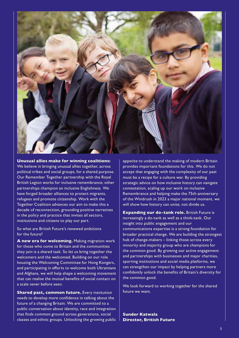

Unusual allies make for winning coalitions:

We believe in bringing unusual allies together, across political tribes and social groups, for a shared purpose. Our Remember Together partnership with the Royal British Legion works for inclusive remembrance; other partnerships champion an inclusive Englishness. We have forged broader alliances to protect migrants, refugees and promote citizenship. Work with the Together Coalition advances our aim to make this a decade of reconnection, grounding positive narratives in the policy and practice that invites all sectors, institutions and citizens to play our part.

So what are British Future's renewed ambitions for the future?

A new era for welcoming. Making migration work for those who come to Britain and the communities they join is a shared task. So let us bring together the welcomers and the welcomed. Building on our role housing the Welcoming Committee for Hong Kongers, and participating in efforts to welcome both Ukrainians and Afghans, we will help shape a welcoming movement that can realise the mutual benefits of social contact on a scale never before seen.

**Shared past, common future.** Every institution needs to develop more confidence in talking about the future of a changing Britain. We are committed to a public conversation about identity, race and integration that finds common ground across generations, social classes and ethnic groups. Unlocking the growing public  $\parallel$ 

appetite to understand the making of modern Britain provides important foundations for this. We do not accept that engaging with the complexity of our past must be a recipe for a culture war. By providing strategic advice on how inclusive history can navigate contestation, scaling up our work on inclusive Remembrance and helping make the 75th anniversary of the Windrush in 2023 a major national moment, we will show how history can unite, not divide us.

Expanding our do-tank role. British Future is increasingly a do-tank as well as a think-tank. Our insight into public engagement and our communications expertise is a strong foundation for broader practical change. We are building the strongest hub of change-makers – linking those across every minority and majority group who are champions for the common good. By growing our active engagement and partnerships with businesses and major charities, sporting institutions and social media platforms, we can strengthen our impact by helping partners more confidently unlock the benefits of Britain's diversity for the common good.

We look forward to working together for the shared future we want.

Sunder Katwala Director, British Future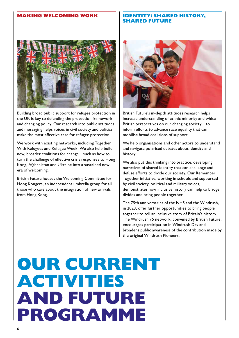#### **MAKING WELCOMING WORK**



Building broad public support for refugee protection in the UK is key to defending the protection framework and changing policy. Our research into public attitudes and messaging helps voices in civil society and politics make the most effective case for refugee protection.

We work with existing networks, including Together With Refugees and Refugee Week. We also help build new, broader coalitions for change – such as how to turn the challenge of effective crisis responses to Hong Kong, Afghanistan and Ukraine into a sustained new era of welcoming.

British Future houses the Welcoming Committee for Hong Kongers, an independent umbrella group for all those who care about the integration of new arrivals from Hong Kong.

#### **IDENTITY: SHARED HISTORY, SHARED FUTURE**



British Future's in-depth attitudes research helps increase understanding of ethnic minority and white British perspectives on our changing society – to inform efforts to advance race equality that can mobilise broad coalitions of support.

We help organisations and other actors to understand and navigate polarised debates about identity and history.

We also put this thinking into practice, developing narratives of shared identity that can challenge and defuse efforts to divide our society. Our Remember Together initiative, working in schools and supported by civil society, political and military voices, demonstrates how inclusive history can help to bridge divides and bring people together.

The 75th anniversaries of the NHS and the Windrush, in 2023, offer further opportunities to bring people together to tell an inclusive story of Britain's history. The Windrush 75 network, convened by British Future, encourages participation in Windrush Day and broadens public awareness of the contribution made by the original Windrush Pioneers.

## **OUR CURRENT ACTIVITIES AND FUTURE PROGRAMME**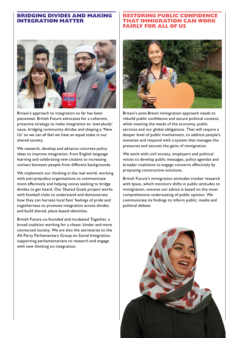#### **BRIDGING DIVIDES AND MAKING INTEGRATION MATTER**



Britain's approach to integration so far has been piecemeal. British Future advocates for a coherent, proactive strategy to make integration an 'everybody' issue, bridging community divides and shaping a 'New Us' so we can all feel we have an equal stake in our shared society.

We research, develop and advance concrete policy ideas to improve integration, from English language learning and celebrating new citizens to increasing contact between people from different backgrounds.

We implement our thinking in the real world, working with anti-prejudice organisations to communicate more effectively and helping voices seeking to bridge divides to get heard. Our Shared Goals project works with football clubs to understand and demonstrate how they can harness local fans' feelings of pride and togetherness to promote integration across divides and build shared, place-based identities.

British Future co-founded and incubated Together, a broad coalition working for a closer, kinder and more connected society. We are also the secretariat to the All-Party Parliamentary Group on Social Integration, supporting parliamentarians to research and engage with new thinking on integration.

#### **RESTORING PUBLIC CONFIDENCE THAT IMMIGRATION CAN WORK FAIRLY FOR ALL OF US**



Britain's post-Brexit immigration approach needs to rebuild public confidence and secure political consent, while meeting the needs of the economy, public services and our global obligations. That will require a deeper level of public involvement, to address people's anxieties and respond with a system that manages the pressures and secures the gains of immigration.

We work with civil society, employers and political voices to develop public messages, policy agendas and broader coalitions to engage concerns effectively by proposing constructive solutions.

British Future's immigration attitudes tracker research with Ipsos, which monitors shifts in public attitudes to immigration, ensures our advice is based on the most comprehensive understating of public opinion. We communicate its findings to inform public, media and political debate.

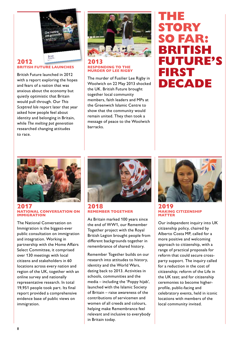

#### 2012 BRITISH FUTURE LAUNCHES

British Future launched in 2012 with a report exploring the hopes and fears of a nation that was anxious about the economy but quietly optimistic that Britain would pull through. Our *This Sceptred Isle* report later that year asked how people feel about identity and belonging in Britain, while *The melting pot generation* researched changing attitudes to race.



#### 2013 RESPONDING TO THE MURDER OF LEE RIGBY

The murder of Fusilier Lee Rigby in Woolwich on 22 May 2013 shocked the UK. British Future brought together local community members, faith leaders and MPs at the Greenwich Islamic Centre to show that the community would remain united. They then took a message of peace to the Woolwich barracks.

### **THE STORY SO FAR: BRITISH FUTURE'S FIRST DECADE**



#### 2017 NATIONAL CONVERSATION ON IMMIGRATION

The National Conversation on Immigration is the biggest-ever public consultation on immigration and integration. Working in partnership with the Home Affairs Select Committee, it comprised over 130 meetings with local citizens and stakeholders in 60 locations across every nation and region of the UK, together with an online survey and nationally representative research. In total 19,951 people took part. Its final report provided a comprehensive evidence base of public views on immigration.



#### 2018 REMEMBER TOGETHER

As Britain marked 100 years since the end of WW1, our Remember Together project with the Royal British Legion brought people from different backgrounds together in remembrance of shared history.

Remember Together builds on our research into attitudes to history, identity and the World Wars, dating back to 2013. Activities in schools, communities and the media – including the 'Poppy hijab', launched with the Islamic Society of Britain – raise awareness of the contributions of servicemen and women of all creeds and colours, helping make Remembrance feel relevant and inclusive to everybody in Britain today.



#### 2019 MAKING CITIZENSHIP MATTER

Our independent inquiry into UK citizenship policy, chaired by Alberto Costa MP, called for a more positive and welcoming approach to citizenship, with a range of practical proposals for reform that could secure crossparty support. The inquiry called for a reduction in the cost of citizenship; reform of the Life in the UK test; and for citizenship ceremonies to become higherprofile, public-facing and celebratory events, held in iconic locations with members of the local community invited.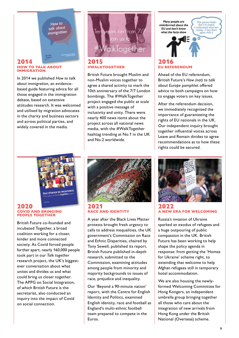How to talk about immigration

#### 2014 HOW TO TALK ABOUT IMMIGRATION

In 2014 we published *How to talk about immigration*, an evidencebased guide featuring advice for all those engaged in the immigration debate, based on extensive attitudes research. It was welcomed and utilised by migration advocates in the charity and business sectors and across political parties, and widely covered in the media.



#### 2015 #WALKTOGETHER

British Future brought Muslim and non-Muslim voices together to agree a shared activity to mark the 10th anniversary of the 7/7 London bombings. The #WalkTogether project engaged the public at scale with a positive message of inclusivity and unity. There were nearly 400 news items about the project across all national news media, with the #WalkTogether hashtag trending at No.1 in the UK and No.2 worldwide.



Ahead of the EU referendum, British Future's *How (not) to talk about Europe* pamphlet offered advice to both campaigns on how to engage voters on key issues.

After the referendum decision, we immediately recognised the importance of guaranteeing the rights of EU nationals in the UK. Our independent inquiry brought together influential voices across Leave and Remain divides to agree recommendations as to how these rights could be secured.



#### 2020 COVID AND BRINGING PEOPLE TOGETHER

British Future co-founded and incubated Together, a broad coalition working for a closer, kinder and more connected society. As Covid forced people further apart, nearly 160,000 people took part in our *Talk together* research project, the UK's biggestever conversation about what unites and divides us and what could bring us closer together. The APPG on Social Integration, of which British Future is the secretariat, also conducted an inquiry into the impact of Covid on social connection.



#### 2021 RACE AND IDENTITY

A year after the Black Lives Matter protests brought fresh urgency to calls to address inequalities, the UK government's Commission on Race and Ethnic Disparities, chaired by Tony Sewell, published its report. British Future published in-depth research, submitted to the Commission, examining attitudes among people from minority and majority backgrounds to issues of race, prejudice and inequality.

Our 'Beyond a 90-minute nation' report, with the Centre for English Identity and Politics, examined English identity, race and football as England's multi-ethnic football team prepared to compete in the Euros.



#### 2022 A NEW ERA FOR WELCOMING

Russia's invasion of Ukraine sparked an exodus of refugees and a huge outpouring of public compassion in the UK. British Future has been working to help shape the policy agenda in response: from getting the 'Homes for Ukraine' scheme right, to extending that welcome to help Afghan refugees still in temporary hotel accommodation.

We are also housing the newlyformed Welcoming Committee for Hong Kongers, an independent umbrella group bringing together all those who care about the integration of new arrivals from Hong Kong under the British National (Overseas) scheme.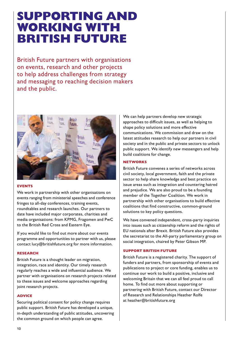## **SUPPORTING AND WORKING WITH BRITISH FUTURE**

British Future partners with organisations on events, research and other projects to help address challenges from strategy and messaging to reaching decision makers and the public.



#### EVENTS

We work in partnership with other organisations on events ranging from ministerial speeches and conference fringes to all-day conferences, training events, roundtables and research launches. Our partners to date have included major corporates, charities and media organisations: from KPMG, Fragomen and PwC to the British Red Cross and Eastern Eye.

If you would like to find out more about our events programme and opportunities to partner with us, please contact lucy@britishfuture.org for more information.

#### RESEARCH

British Future is a thought leader on migration, integration, race and identity. Our timely research regularly reaches a wide and influential audience. We partner with organisations on research projects related to these issues and welcome approaches regarding joint research projects.

#### ADVICE

Securing political consent for policy change requires public support. British Future has developed a unique, in-depth understanding of public attitudes, uncovering the common ground on which people can agree.

We can help partners develop new strategic approaches to difficult issues, as well as helping to shape policy solutions and more effective communications. We commission and draw on the latest attitudes research to help our partners in civil society and in the public and private sectors to unlock public support. We identify new messengers and help build coalitions for change.

#### **NETWORKS**

British Future convenes a series of networks across civil society, local government, faith and the private sector to help share knowledge and best practice on issue areas such as integration and countering hatred and prejudice. We are also proud to be a founding member of the Together Coalition. We work in partnership with other organisations to build effective coalitions that find constructive, common-ground solutions to key policy questions.

We have convened independent, cross-party inquiries into issues such as citizenship reform and the rights of EU nationals after Brexit. British Future also provides the secretariat to the All-party parliamentary group on social integration, chaired by Peter Gibson MP.

#### SUPPORT BRITISH FUTURE

British Future is a registered charity. The support of funders and partners, from sponsorship of events and publications to project or core funding, enables us to continue our work to build a positive, inclusive and welcoming Britain that we can all feel proud to call home. To find out more about supporting or partnering with British Future, contact our Director of Research and Relationships Heather Rolfe at heather@britishfuture.org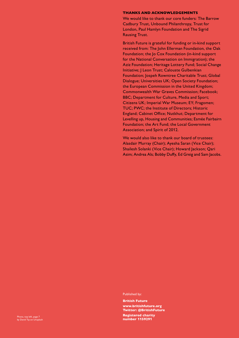#### THANKS AND ACKNOWLEDGEMENTS

We would like to thank our core funders: The Barrow Cadbury Trust, Unbound Philanthropy, Trust for London, Paul Hamlyn Foundation and The Sigrid Rausing Trust.

British Future is grateful for funding or in-kind support received from: The John Ellerman Foundation, the Oak Foundation; the Jo Cox Foundation (in-kind support for the National Conversation on Immigration); the Aziz Foundation; Heritage Lottery Fund; Social Change Initiative; J Leon Trust; Calouste Gulbenkian Foundation; Jospeh Rowntree Charitable Trust; Global Dialogue; Universities UK; Open Society Foundation; the European Commission in the United Kingdom; Commonwealth War Graves Commission; Facebook; BBC; Department for Culture, Media and Sport; Citizens UK; Imperial War Museum; EY; Fragomen; TUC; PWC; the Institute of Directors; Historic England; Cabinet Office; Nutkhut; Department for Levelling up, Housing and Communities; Esmée Fairbairn Foundation; the Art Fund; the Local Government Association; and Spirit of 2012.

We would also like to thank our board of trustees: Alasdair Murray (Chair); Ayesha Saran (Vice Chair); Shailesh Solanki (Vice Chair); Howard Jackson; Qari Asim; Andrea Als; Bobby Duffy, Ed Greig and Sam Jacobs.

Published by:

British Future www.britishfuture.org Twitter: @BritishFuture Registered charity number 115**9291 Photo, top left, page 7<br>by David Tip on Unsplash Photo, the Campion of the Campion of the Campion of the Campion of the Campion of the<br><b>https://www.community.community.community.community.community.communi**